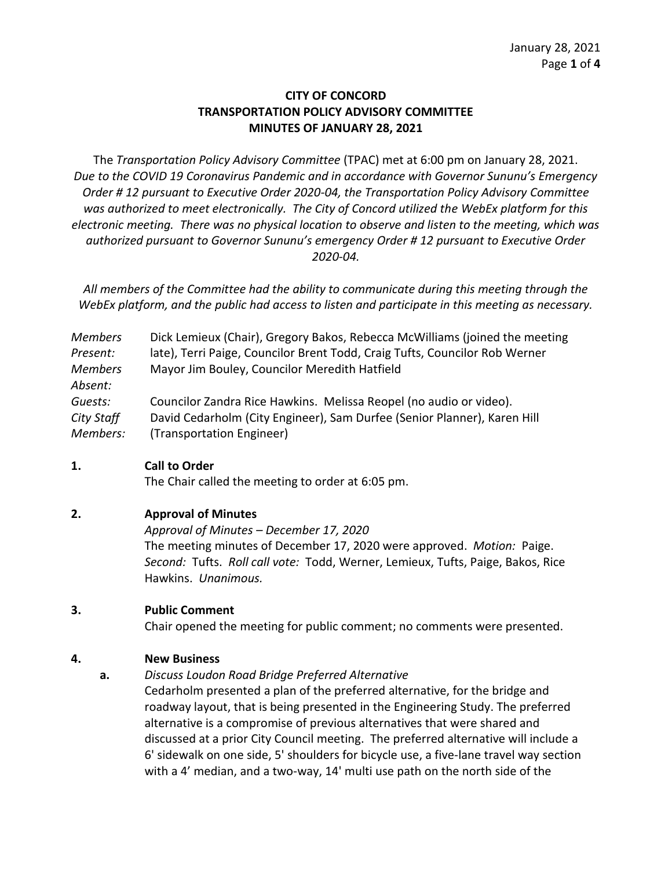# **CITY OF CONCORD TRANSPORTATION POLICY ADVISORY COMMITTEE MINUTES OF JANUARY 28, 2021**

The *Transportation Policy Advisory Committee* (TPAC) met at 6:00 pm on January 28, 2021. *Due to the COVID 19 Coronavirus Pandemic and in accordance with Governor Sununu's Emergency Order # 12 pursuant to Executive Order 2020-04, the Transportation Policy Advisory Committee was authorized to meet electronically. The City of Concord utilized the WebEx platform for this electronic meeting. There was no physical location to observe and listen to the meeting, which was authorized pursuant to Governor Sununu's emergency Order # 12 pursuant to Executive Order 2020-04.*

*All members of the Committee had the ability to communicate during this meeting through the WebEx platform, and the public had access to listen and participate in this meeting as necessary.*

| <b>Members</b> | Dick Lemieux (Chair), Gregory Bakos, Rebecca McWilliams (joined the meeting |
|----------------|-----------------------------------------------------------------------------|
| Present:       | late), Terri Paige, Councilor Brent Todd, Craig Tufts, Councilor Rob Werner |
| <b>Members</b> | Mayor Jim Bouley, Councilor Meredith Hatfield                               |
| Absent:        |                                                                             |
| Guests:        | Councilor Zandra Rice Hawkins. Melissa Reopel (no audio or video).          |
| City Staff     | David Cedarholm (City Engineer), Sam Durfee (Senior Planner), Karen Hill    |
| Members:       | (Transportation Engineer)                                                   |

#### **1. Call to Order**

The Chair called the meeting to order at 6:05 pm.

# **2. Approval of Minutes**

*Approval of Minutes – December 17, 2020*

The meeting minutes of December 17, 2020 were approved. *Motion:* Paige. *Second:* Tufts. *Roll call vote:* Todd, Werner, Lemieux, Tufts, Paige, Bakos, Rice Hawkins. *Unanimous.* 

# **3. Public Comment**

Chair opened the meeting for public comment; no comments were presented.

# **4. New Business**

**a.** *Discuss Loudon Road Bridge Preferred Alternative* 

Cedarholm presented a plan of the preferred alternative, for the bridge and roadway layout, that is being presented in the Engineering Study. The preferred alternative is a compromise of previous alternatives that were shared and discussed at a prior City Council meeting. The preferred alternative will include a 6' sidewalk on one side, 5' shoulders for bicycle use, a five-lane travel way section with a 4' median, and a two-way, 14' multi use path on the north side of the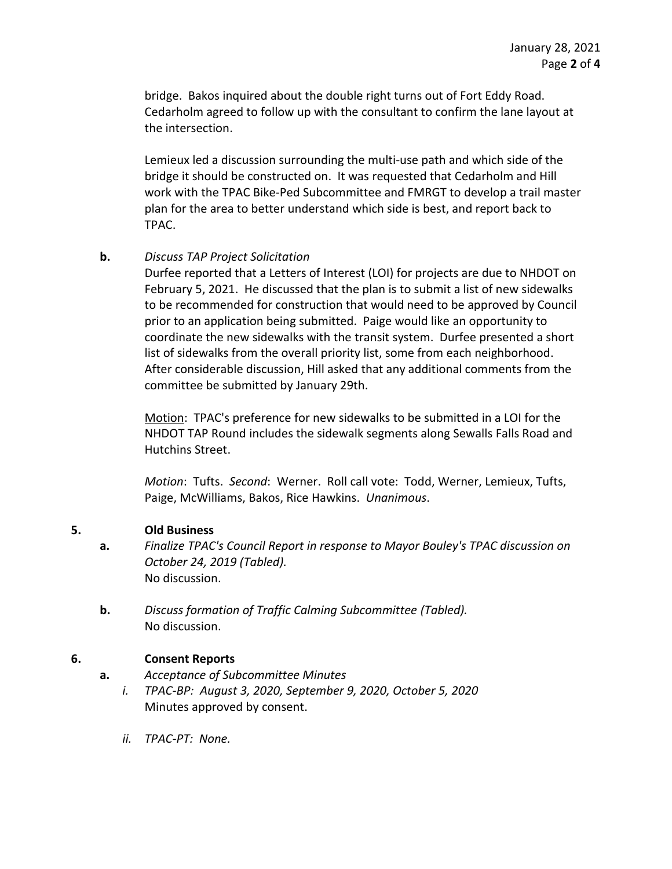bridge. Bakos inquired about the double right turns out of Fort Eddy Road. Cedarholm agreed to follow up with the consultant to confirm the lane layout at the intersection.

Lemieux led a discussion surrounding the multi-use path and which side of the bridge it should be constructed on. It was requested that Cedarholm and Hill work with the TPAC Bike-Ped Subcommittee and FMRGT to develop a trail master plan for the area to better understand which side is best, and report back to TPAC.

### **b.** *Discuss TAP Project Solicitation*

Durfee reported that a Letters of Interest (LOI) for projects are due to NHDOT on February 5, 2021. He discussed that the plan is to submit a list of new sidewalks to be recommended for construction that would need to be approved by Council prior to an application being submitted. Paige would like an opportunity to coordinate the new sidewalks with the transit system. Durfee presented a short list of sidewalks from the overall priority list, some from each neighborhood. After considerable discussion, Hill asked that any additional comments from the committee be submitted by January 29th.

Motion: TPAC's preference for new sidewalks to be submitted in a LOI for the NHDOT TAP Round includes the sidewalk segments along Sewalls Falls Road and Hutchins Street.

*Motion*: Tufts. *Second*: Werner. Roll call vote: Todd, Werner, Lemieux, Tufts, Paige, McWilliams, Bakos, Rice Hawkins. *Unanimous*.

#### **5. Old Business**

- **a.** *Finalize TPAC's Council Report in response to Mayor Bouley's TPAC discussion on October 24, 2019 (Tabled).*  No discussion.
- **b.** *Discuss formation of Traffic Calming Subcommittee (Tabled).* No discussion.

# **6. Consent Reports**

- **a.** *Acceptance of Subcommittee Minutes*
	- *i. TPAC-BP: August 3, 2020, September 9, 2020, October 5, 2020* Minutes approved by consent.
	- *ii. TPAC-PT: None.*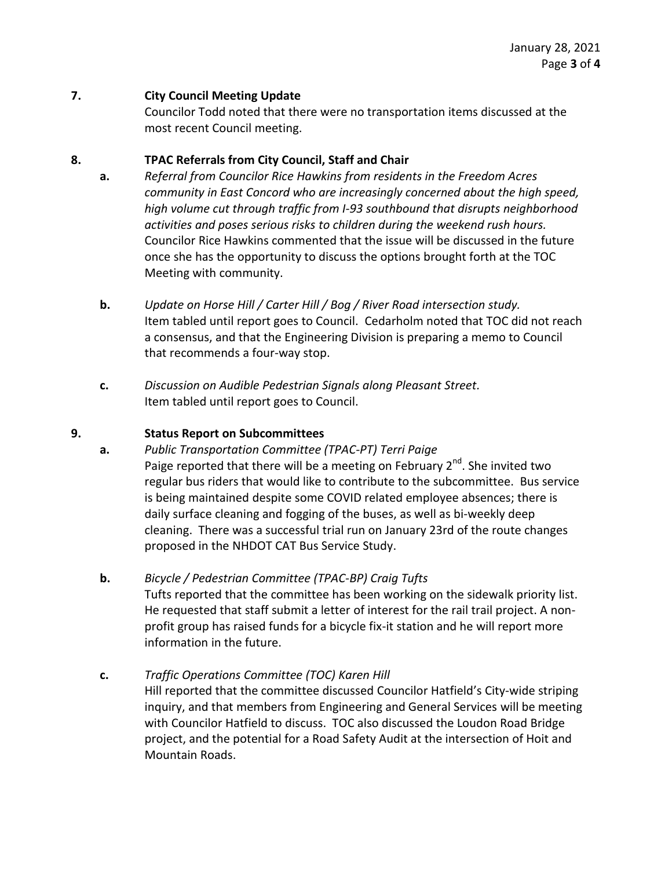## **7. City Council Meeting Update**

Councilor Todd noted that there were no transportation items discussed at the most recent Council meeting.

## **8. TPAC Referrals from City Council, Staff and Chair**

- **a.** *Referral from Councilor Rice Hawkins from residents in the Freedom Acres community in East Concord who are increasingly concerned about the high speed, high volume cut through traffic from I-93 southbound that disrupts neighborhood activities and poses serious risks to children during the weekend rush hours.* Councilor Rice Hawkins commented that the issue will be discussed in the future once she has the opportunity to discuss the options brought forth at the TOC Meeting with community.
- **b.** *Update on Horse Hill / Carter Hill / Bog / River Road intersection study.*  Item tabled until report goes to Council. Cedarholm noted that TOC did not reach a consensus, and that the Engineering Division is preparing a memo to Council that recommends a four-way stop.
- **c.** *Discussion on Audible Pedestrian Signals along Pleasant Street.* Item tabled until report goes to Council.

### **9. Status Report on Subcommittees**

- **a.** *Public Transportation Committee (TPAC-PT) Terri Paige* Paige reported that there will be a meeting on February 2<sup>nd</sup>. She invited two regular bus riders that would like to contribute to the subcommittee. Bus service is being maintained despite some COVID related employee absences; there is daily surface cleaning and fogging of the buses, as well as bi-weekly deep cleaning. There was a successful trial run on January 23rd of the route changes proposed in the NHDOT CAT Bus Service Study.
- **b.** *Bicycle / Pedestrian Committee (TPAC-BP) Craig Tufts*  Tufts reported that the committee has been working on the sidewalk priority list. He requested that staff submit a letter of interest for the rail trail project. A nonprofit group has raised funds for a bicycle fix-it station and he will report more information in the future.

# **c.** *Traffic Operations Committee (TOC) Karen Hill*

Hill reported that the committee discussed Councilor Hatfield's City-wide striping inquiry, and that members from Engineering and General Services will be meeting with Councilor Hatfield to discuss. TOC also discussed the Loudon Road Bridge project, and the potential for a Road Safety Audit at the intersection of Hoit and Mountain Roads.